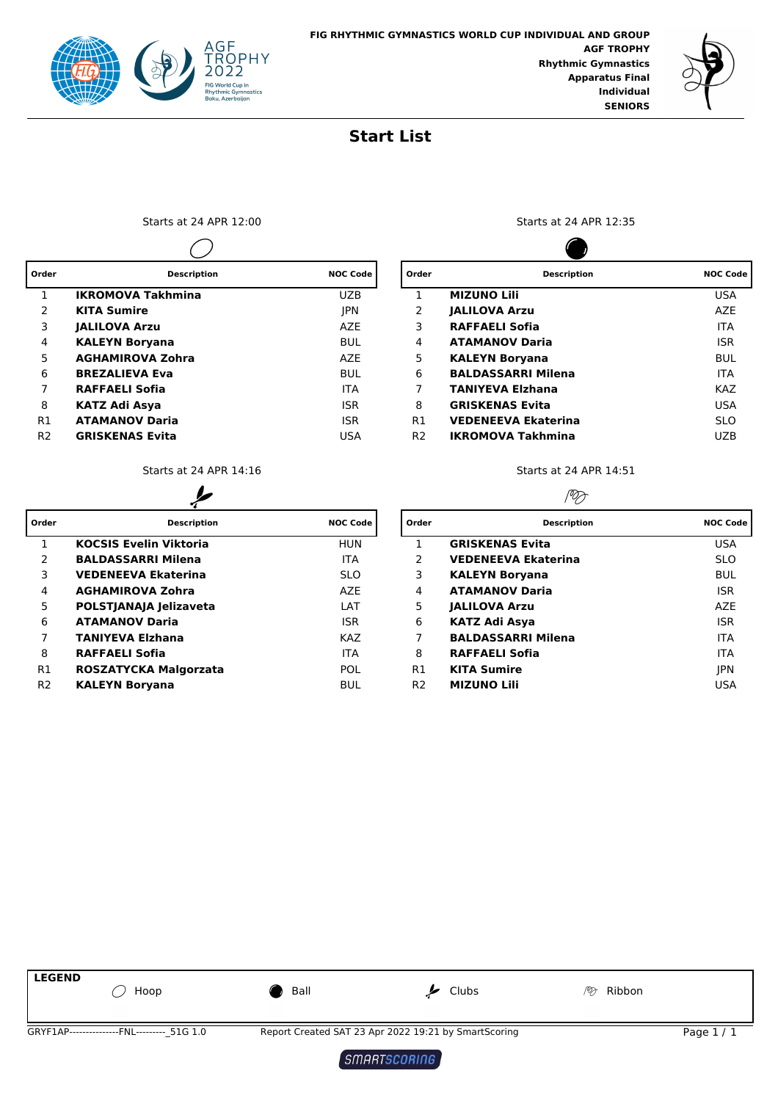



## **Start List**

Starts at 24 APR 12:00 Starts at 24 APR 12:35  $\overline{\phantom{0}}$ 

| Order          | <b>Description</b>       | <b>NOC Code</b> | Order          | <b>Description</b>         | <b>NOC Code</b> |  |
|----------------|--------------------------|-----------------|----------------|----------------------------|-----------------|--|
|                | <b>IKROMOVA Takhmina</b> | <b>UZB</b>      |                | <b>MIZUNO Lili</b>         | <b>USA</b>      |  |
| 2              | <b>KITA Sumire</b>       | <b>JPN</b>      | 2              | <b>JALILOVA Arzu</b>       | AZE             |  |
| 3              | <b>JALILOVA Arzu</b>     | <b>AZE</b>      | 3              | <b>RAFFAELI Sofia</b>      | <b>ITA</b>      |  |
| 4              | <b>KALEYN Borvana</b>    | <b>BUL</b>      | 4              | <b>ATAMANOV Daria</b>      | <b>ISR</b>      |  |
| 5.             | <b>AGHAMIROVA Zohra</b>  | <b>AZE</b>      | 5              | <b>KALEYN Borvana</b>      | BUL             |  |
| 6              | <b>BREZALIEVA Eva</b>    | <b>BUL</b>      | 6              | <b>BALDASSARRI Milena</b>  | <b>ITA</b>      |  |
|                | <b>RAFFAELI Sofia</b>    | <b>ITA</b>      |                | <b>TANIYEVA Elzhana</b>    | <b>KAZ</b>      |  |
| 8              | <b>KATZ Adi Asya</b>     | <b>ISR</b>      | 8              | <b>GRISKENAS Evita</b>     | <b>USA</b>      |  |
| R1             | <b>ATAMANOV Daria</b>    | <b>ISR</b>      | R1             | <b>VEDENEEVA Ekaterina</b> | <b>SLO</b>      |  |
| R <sub>2</sub> | <b>GRISKENAS Evita</b>   | USA             | R <sub>2</sub> | <b>IKROMOVA Takhmina</b>   | <b>UZB</b>      |  |
|                |                          |                 |                |                            |                 |  |

| Order          | <b>Description</b>            | <b>NOC Code</b> | Order          | <b>Description</b>         | <b>NOC Code</b> |  |
|----------------|-------------------------------|-----------------|----------------|----------------------------|-----------------|--|
|                | <b>KOCSIS Evelin Viktoria</b> | <b>HUN</b>      |                | <b>GRISKENAS Evita</b>     | <b>USA</b>      |  |
| 2              | <b>BALDASSARRI Milena</b>     | <b>ITA</b>      | 2              | <b>VEDENEEVA Ekaterina</b> | <b>SLO</b>      |  |
| 3              | <b>VEDENEEVA Ekaterina</b>    | <b>SLO</b>      | 3              | <b>KALEYN Borvana</b>      | <b>BUL</b>      |  |
| 4              | <b>AGHAMIROVA Zohra</b>       | AZE             | 4              | <b>ATAMANOV Daria</b>      | <b>ISR</b>      |  |
| 5              | POLSTJANAJA Jelizaveta        | LAT             | 5              | <b>JALILOVA Arzu</b>       | AZE             |  |
| 6              | <b>ATAMANOV Daria</b>         | <b>ISR</b>      | 6              | KATZ Adi Asya              | <b>ISR</b>      |  |
|                | <b>TANIYEVA Elzhana</b>       | <b>KAZ</b>      |                | <b>BALDASSARRI Milena</b>  | <b>ITA</b>      |  |
| 8              | <b>RAFFAELI Sofia</b>         | <b>ITA</b>      | 8              | <b>RAFFAELI Sofia</b>      | <b>ITA</b>      |  |
| R <sub>1</sub> | ROSZATYCKA Malgorzata         | <b>POL</b>      | R1             | <b>KITA Sumire</b>         | <b>JPN</b>      |  |
| R <sub>2</sub> | <b>KALEYN Boryana</b>         | <b>BUL</b>      | R <sub>2</sub> | <b>MIZUNO Lili</b>         | USA             |  |

**Contract** 

| Order          | <b>Description</b>         | <b>NOC Code</b> |
|----------------|----------------------------|-----------------|
| 1              | <b>MIZUNO LIII</b>         | USA             |
| 2              | <b>JALILOVA Arzu</b>       | A7F             |
| 3              | RAFFAELI Sofia             | <b>ITA</b>      |
| 4              | <b>ATAMANOV Daria</b>      | <b>ISR</b>      |
| 5              | KALEYN Boryana             | <b>BUL</b>      |
| 6              | <b>BALDASSARRI Milena</b>  | <b>ITA</b>      |
| 7              | <b>TANIYEVA Elzhana</b>    | <b>KAZ</b>      |
| 8              | <b>GRISKENAS Evita</b>     | USA             |
| R1             | <b>VEDENEEVA Ekaterina</b> | <b>SLO</b>      |
| R <sub>2</sub> | <b>IKROMOVA Takhmina</b>   | UZB             |

Starts at 24 APR 14:16 Starts at 24 APR 14:51

## PD

| rder           | <b>Description</b>            | <b>NOC Code</b> | Order          | <b>Description</b>         | <b>NOC Code</b> |
|----------------|-------------------------------|-----------------|----------------|----------------------------|-----------------|
| $\mathbf{1}$   | <b>KOCSIS Evelin Viktoria</b> | <b>HUN</b>      |                | <b>GRISKENAS Evita</b>     | <b>USA</b>      |
| 2              | <b>BALDASSARRI Milena</b>     | <b>ITA</b>      | 2              | <b>VEDENEEVA Ekaterina</b> | <b>SLO</b>      |
| 3              | <b>VEDENEEVA Ekaterina</b>    | <b>SLO</b>      | 3.             | <b>KALEYN Boryana</b>      | <b>BUL</b>      |
| 4              | <b>AGHAMIROVA Zohra</b>       | <b>AZE</b>      | 4              | <b>ATAMANOV Daria</b>      | <b>ISR</b>      |
| 5              | POLSTJANAJA Jelizaveta        | LAT             | 5              | <b>JALILOVA Arzu</b>       | <b>AZE</b>      |
| 6              | <b>ATAMANOV Daria</b>         | <b>ISR</b>      | 6              | KATZ Adi Asya              | <b>ISR</b>      |
| $\overline{7}$ | <b>TANIYEVA Elzhana</b>       | <b>KAZ</b>      |                | <b>BALDASSARRI Milena</b>  | <b>ITA</b>      |
| 8              | <b>RAFFAELI Sofia</b>         | <b>ITA</b>      | 8              | <b>RAFFAELI Sofia</b>      | <b>ITA</b>      |
| R1             | ROSZATYCKA Malgorzata         | <b>POL</b>      | R1             | <b>KITA Sumire</b>         | <b>IPN</b>      |
| R <sub>2</sub> | <b>KALEYN Boryana</b>         | <b>BUL</b>      | R <sub>2</sub> | <b>MIZUNO Lili</b>         | <b>USA</b>      |



SMARTSCORING